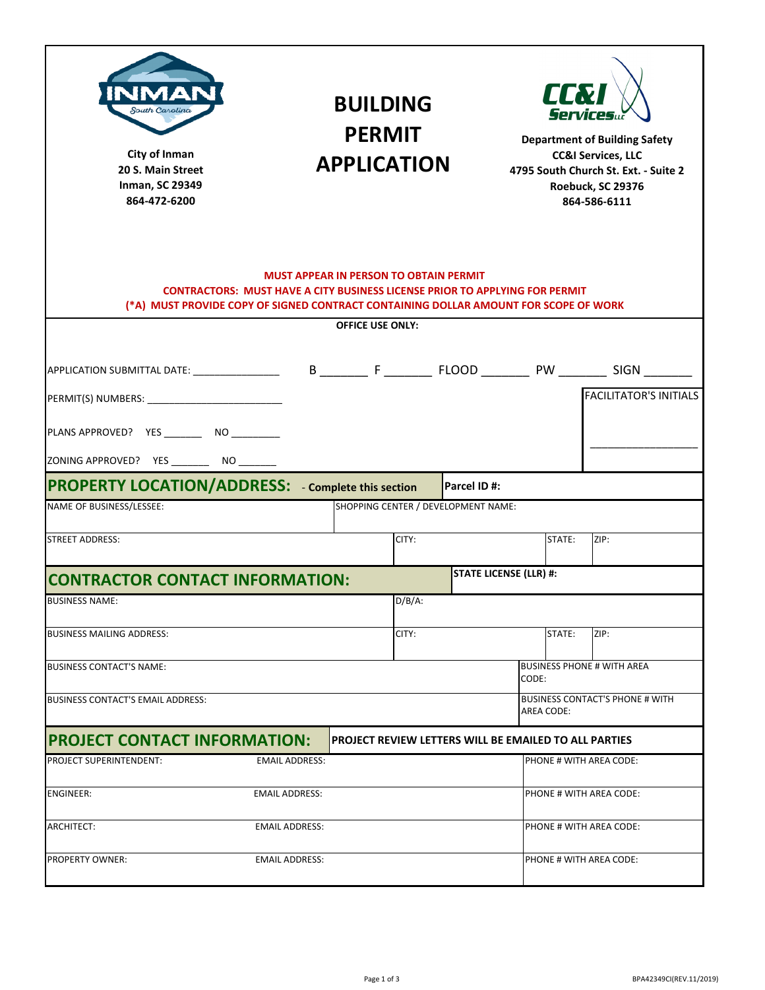| А<br>South Carolina<br>City of Inman<br>20 S. Main Street<br><b>Inman, SC 29349</b><br>864-472-6200                                                                                                                                                    |                       | <b>BUILDING</b><br><b>PERMIT</b><br><b>APPLICATION</b>       |           |                               | <b>CETZI</b><br><b>Services</b><br><b>Department of Building Safety</b><br><b>CC&amp;I Services, LLC</b><br>4795 South Church St. Ext. - Suite 2<br>Roebuck, SC 29376<br>864-586-6111 |                                                      |                                   |  |  |
|--------------------------------------------------------------------------------------------------------------------------------------------------------------------------------------------------------------------------------------------------------|-----------------------|--------------------------------------------------------------|-----------|-------------------------------|---------------------------------------------------------------------------------------------------------------------------------------------------------------------------------------|------------------------------------------------------|-----------------------------------|--|--|
| <b>MUST APPEAR IN PERSON TO OBTAIN PERMIT</b><br><b>CONTRACTORS: MUST HAVE A CITY BUSINESS LICENSE PRIOR TO APPLYING FOR PERMIT</b><br>(*A) MUST PROVIDE COPY OF SIGNED CONTRACT CONTAINING DOLLAR AMOUNT FOR SCOPE OF WORK<br><b>OFFICE USE ONLY:</b> |                       |                                                              |           |                               |                                                                                                                                                                                       |                                                      |                                   |  |  |
|                                                                                                                                                                                                                                                        |                       |                                                              |           |                               |                                                                                                                                                                                       |                                                      |                                   |  |  |
| PERMIT(S) NUMBERS: The contract of the contract of the contract of the contract of the contract of the contract of the contract of the contract of the contract of the contract of the contract of the contract of the contrac                         |                       |                                                              |           |                               |                                                                                                                                                                                       |                                                      | <b>FACILITATOR'S INITIALS</b>     |  |  |
| PLANS APPROVED? YES __________ NO __________                                                                                                                                                                                                           |                       |                                                              |           |                               |                                                                                                                                                                                       |                                                      |                                   |  |  |
| ZONING APPROVED? YES _________ NO ________                                                                                                                                                                                                             |                       |                                                              |           |                               |                                                                                                                                                                                       |                                                      |                                   |  |  |
| <b>PROPERTY LOCATION/ADDRESS:</b> - Complete this section<br> Parcel ID #:                                                                                                                                                                             |                       |                                                              |           |                               |                                                                                                                                                                                       |                                                      |                                   |  |  |
| NAME OF BUSINESS/LESSEE:                                                                                                                                                                                                                               |                       | SHOPPING CENTER / DEVELOPMENT NAME:                          |           |                               |                                                                                                                                                                                       |                                                      |                                   |  |  |
| <b>STREET ADDRESS:</b>                                                                                                                                                                                                                                 |                       |                                                              | CITY:     |                               |                                                                                                                                                                                       | STATE:                                               | ZIP:                              |  |  |
| <b>CONTRACTOR CONTACT INFORMATION:</b>                                                                                                                                                                                                                 |                       |                                                              |           | <b>STATE LICENSE (LLR) #:</b> |                                                                                                                                                                                       |                                                      |                                   |  |  |
| <b>BUSINESS NAME:</b>                                                                                                                                                                                                                                  |                       |                                                              | $D/B/A$ : |                               |                                                                                                                                                                                       |                                                      |                                   |  |  |
| <b>BUSINESS MAILING ADDRESS:</b>                                                                                                                                                                                                                       |                       |                                                              | CITY:     |                               |                                                                                                                                                                                       | STATE:                                               | ZIP:                              |  |  |
| <b>BUSINESS CONTACT'S NAME:</b>                                                                                                                                                                                                                        |                       |                                                              |           |                               | CODE:                                                                                                                                                                                 |                                                      | <b>BUSINESS PHONE # WITH AREA</b> |  |  |
| <b>BUSINESS CONTACT'S EMAIL ADDRESS:</b>                                                                                                                                                                                                               |                       |                                                              |           |                               |                                                                                                                                                                                       | <b>BUSINESS CONTACT'S PHONE # WITH</b><br>AREA CODE: |                                   |  |  |
| <b>PROJECT CONTACT INFORMATION:</b>                                                                                                                                                                                                                    |                       | <b>PROJECT REVIEW LETTERS WILL BE EMAILED TO ALL PARTIES</b> |           |                               |                                                                                                                                                                                       |                                                      |                                   |  |  |
| <b>PROJECT SUPERINTENDENT:</b>                                                                                                                                                                                                                         | <b>EMAIL ADDRESS:</b> |                                                              |           |                               |                                                                                                                                                                                       | PHONE # WITH AREA CODE:                              |                                   |  |  |
| <b>ENGINEER:</b>                                                                                                                                                                                                                                       | <b>EMAIL ADDRESS:</b> |                                                              |           |                               |                                                                                                                                                                                       | PHONE # WITH AREA CODE:                              |                                   |  |  |
| ARCHITECT:                                                                                                                                                                                                                                             | <b>EMAIL ADDRESS:</b> |                                                              |           |                               |                                                                                                                                                                                       | PHONE # WITH AREA CODE:                              |                                   |  |  |
| <b>PROPERTY OWNER:</b>                                                                                                                                                                                                                                 | <b>EMAIL ADDRESS:</b> |                                                              |           |                               | PHONE # WITH AREA CODE:                                                                                                                                                               |                                                      |                                   |  |  |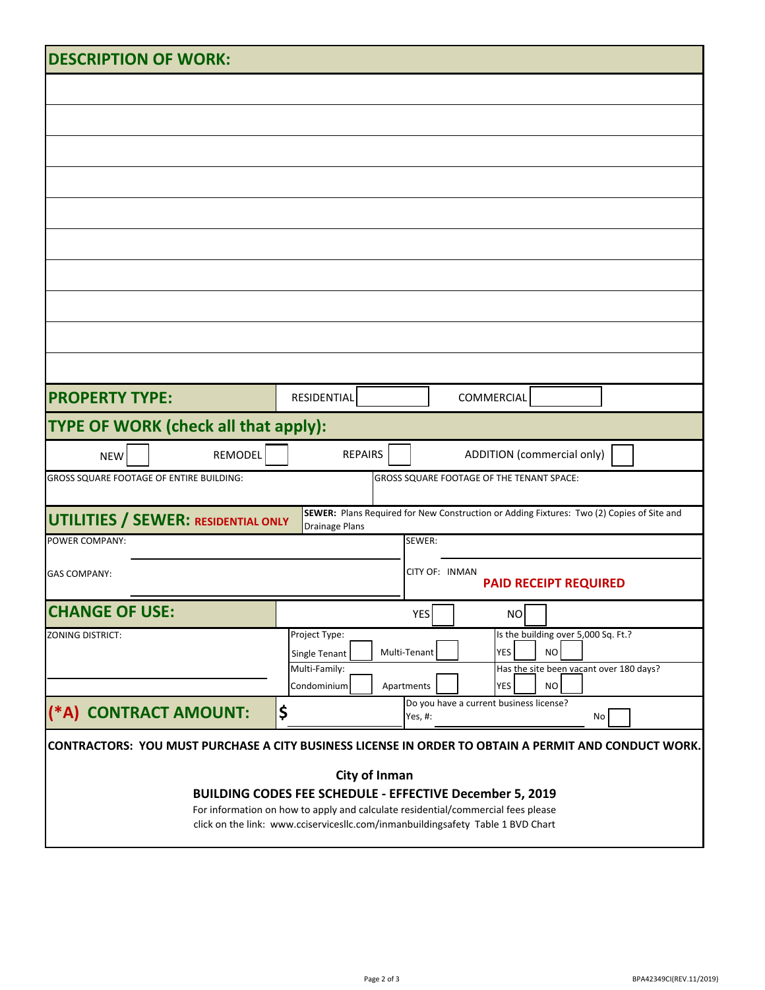| <b>DESCRIPTION OF WORK:</b>                                                                                                                  |                                                                                                                  |  |  |  |  |  |  |  |
|----------------------------------------------------------------------------------------------------------------------------------------------|------------------------------------------------------------------------------------------------------------------|--|--|--|--|--|--|--|
|                                                                                                                                              |                                                                                                                  |  |  |  |  |  |  |  |
|                                                                                                                                              |                                                                                                                  |  |  |  |  |  |  |  |
|                                                                                                                                              |                                                                                                                  |  |  |  |  |  |  |  |
|                                                                                                                                              |                                                                                                                  |  |  |  |  |  |  |  |
|                                                                                                                                              |                                                                                                                  |  |  |  |  |  |  |  |
|                                                                                                                                              |                                                                                                                  |  |  |  |  |  |  |  |
|                                                                                                                                              |                                                                                                                  |  |  |  |  |  |  |  |
|                                                                                                                                              |                                                                                                                  |  |  |  |  |  |  |  |
|                                                                                                                                              |                                                                                                                  |  |  |  |  |  |  |  |
|                                                                                                                                              |                                                                                                                  |  |  |  |  |  |  |  |
|                                                                                                                                              |                                                                                                                  |  |  |  |  |  |  |  |
| <b>PROPERTY TYPE:</b>                                                                                                                        | RESIDENTIAL<br>COMMERCIAL                                                                                        |  |  |  |  |  |  |  |
| TYPE OF WORK (check all that apply):                                                                                                         |                                                                                                                  |  |  |  |  |  |  |  |
| REMODEL<br><b>NEW</b>                                                                                                                        | <b>REPAIRS</b><br><b>ADDITION (commercial only)</b>                                                              |  |  |  |  |  |  |  |
| GROSS SQUARE FOOTAGE OF ENTIRE BUILDING:                                                                                                     | GROSS SQUARE FOOTAGE OF THE TENANT SPACE:                                                                        |  |  |  |  |  |  |  |
| SEWER: Plans Required for New Construction or Adding Fixtures: Two (2) Copies of Site and                                                    |                                                                                                                  |  |  |  |  |  |  |  |
| <b>UTILITIES / SEWER: RESIDENTIAL ONLY</b><br>POWER COMPANY:                                                                                 | <b>Drainage Plans</b><br>SEWER:                                                                                  |  |  |  |  |  |  |  |
|                                                                                                                                              | CITY OF: INMAN                                                                                                   |  |  |  |  |  |  |  |
| <b>GAS COMPANY:</b>                                                                                                                          | <b>PAID RECEIPT REQUIRED</b>                                                                                     |  |  |  |  |  |  |  |
| <b>CHANGE OF USE:</b>                                                                                                                        | <b>YES</b><br><b>NO</b>                                                                                          |  |  |  |  |  |  |  |
| ZONING DISTRICT:                                                                                                                             | Is the building over 5,000 Sq. Ft.?<br>Project Type:<br><b>NO</b><br><b>YES</b><br>Multi-Tenant<br>Single Tenant |  |  |  |  |  |  |  |
|                                                                                                                                              | Multi-Family:<br>Has the site been vacant over 180 days?                                                         |  |  |  |  |  |  |  |
|                                                                                                                                              | Condominium<br>Apartments<br>YES<br><b>NO</b><br>Do you have a current business license?                         |  |  |  |  |  |  |  |
| (*A) CONTRACT AMOUNT:                                                                                                                        | \$<br>Yes, #:<br>No                                                                                              |  |  |  |  |  |  |  |
| <b>CONTRACTORS: YOU MUST PURCHASE A CITY BUSINESS LICENSE IN ORDER TO OBTAIN A PERMIT AND CONDUCT WORK.</b>                                  |                                                                                                                  |  |  |  |  |  |  |  |
| City of Inman                                                                                                                                |                                                                                                                  |  |  |  |  |  |  |  |
| BUILDING CODES FEE SCHEDULE - EFFECTIVE December 5, 2019<br>For information on how to apply and calculate residential/commercial fees please |                                                                                                                  |  |  |  |  |  |  |  |
|                                                                                                                                              | click on the link: www.cciservicesllc.com/inmanbuildingsafety Table 1 BVD Chart                                  |  |  |  |  |  |  |  |
|                                                                                                                                              |                                                                                                                  |  |  |  |  |  |  |  |